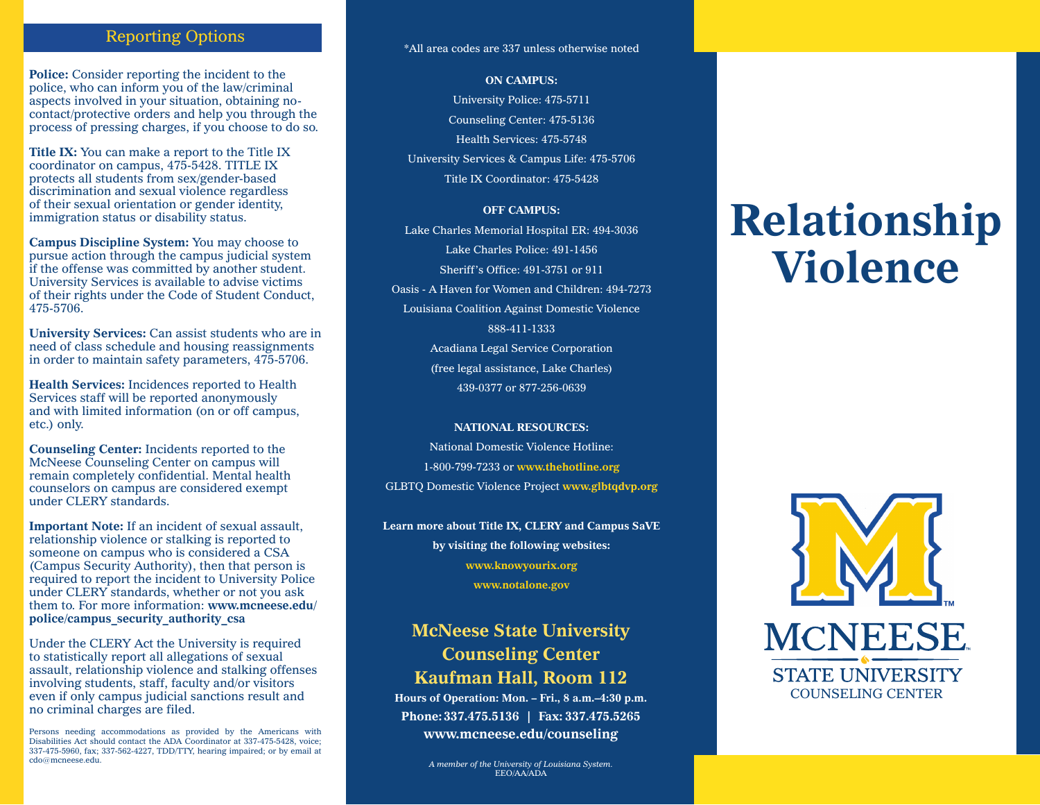## Reporting Options

**Police:** Consider reporting the incident to the police, who can inform you of the law/criminal aspects involved in your situation, obtaining nocontact/protective orders and help you through the process of pressing charges, if you choose to do so.

**Title IX:** You can make a report to the Title IX coordinator on campus, 475-5428. TITLE IX protects all students from sex/gender-based discrimination and sexual violence regardless of their sexual orientation or gender identity, immigration status or disability status.

**Campus Discipline System:** You may choose to pursue action through the campus judicial system if the offense was committed by another student. University Services is available to advise victims of their rights under the Code of Student Conduct, 475-5706.

**University Services:** Can assist students who are in need of class schedule and housing reassignments in order to maintain safety parameters, 475-5706.

**Health Services:** Incidences reported to Health Services staff will be reported anonymously and with limited information (on or off campus, etc.) only.

**Counseling Center:** Incidents reported to the McNeese Counseling Center on campus will remain completely confidential. Mental health counselors on campus are considered exempt under CLERY standards.

**Important Note:** If an incident of sexual assault, relationship violence or stalking is reported to someone on campus who is considered a CSA (Campus Security Authority), then that person is required to report the incident to University Police under CLERY standards, whether or not you ask them to. For more information: **www.mcneese.edu/ police/campus\_security\_authority\_csa**

Under the CLERY Act the University is required to statistically report all allegations of sexual assault, relationship violence and stalking offenses involving students, staff, faculty and/or visitors even if only campus judicial sanctions result and no criminal charges are filed.

Persons needing accommodations as provided by the Americans with Disabilities Act should contact the ADA Coordinator at 337-475-5428, voice; 337-475-5960, fax; 337-562-4227, TDD/TTY, hearing impaired; or by email at cdo@mcneese.edu.

#### \*All area codes are 337 unless otherwise noted

**ON CAMPUS:**

University Police: 475-5711 Counseling Center: 475-5136 Health Services: 475-5748 University Services & Campus Life: 475-5706 Title IX Coordinator: 475-5428

#### **OFF CAMPUS:**

Lake Charles Memorial Hospital ER: 494-3036 Lake Charles Police: 491-1456 Sheriff's Office: 491-3751 or 911 Oasis - A Haven for Women and Children: 494-7273 Louisiana Coalition Against Domestic Violence 888-411-1333 Acadiana Legal Service Corporation (free legal assistance, Lake Charles) 439-0377 or 877-256-0639

#### **NATIONAL RESOURCES:**

National Domestic Violence Hotline: 1-800-799-7233 or **www.thehotline.org** GLBTQ Domestic Violence Project **www.glbtqdvp.org**

**Learn more about Title IX, CLERY and Campus SaVE by visiting the following websites: www.knowyourix.org www.notalone.gov**

## **McNeese State University Counseling Center Kaufman Hall, Room 112**

**Hours of Operation: Mon. – Fri., 8 a.m.–4:30 p.m. Phone:337.475.5136 | Fax: 337.475.5265 www.mcneese.edu/counseling**

> *A member of the University of Louisiana System.* EEO/AA/ADA

# **Relationship Violence**